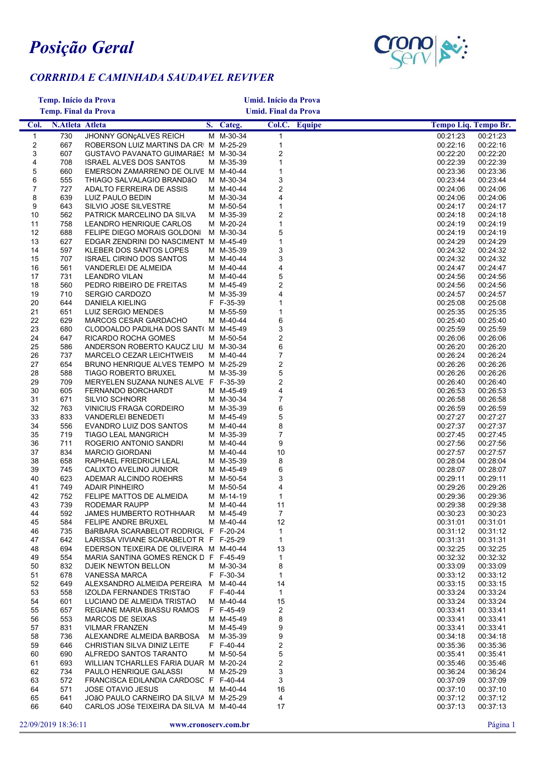

## *CORRRIDA E CAMINHADA SAUDAVEL REVIVER*

| <b>Temp. Início da Prova</b> |                        |                                                                                |                             |                        | Umid. Início da Prova        |               |                                              |  |
|------------------------------|------------------------|--------------------------------------------------------------------------------|-----------------------------|------------------------|------------------------------|---------------|----------------------------------------------|--|
| <b>Temp. Final da Prova</b>  |                        |                                                                                | <b>Umid. Final da Prova</b> |                        |                              |               |                                              |  |
| Col.                         | <b>N.Atleta Atleta</b> |                                                                                |                             | S. Categ.              |                              | Col.C. Equipe | Tempo Liq. Tempo Br.                         |  |
| $\mathbf{1}$                 | 730                    | JHONNY GONÇALVES REICH                                                         |                             | M M-30-34              | $\mathbf{1}$                 |               | 00:21:23<br>00:21:23                         |  |
| 2                            | 667                    | ROBERSON LUIZ MARTINS DA CRI M M-25-29                                         |                             |                        | $\mathbf{1}$                 |               | 00:22:16<br>00:22:16                         |  |
| 3                            | 607                    | GUSTAVO PAVANATO GUIMARÃES M M-30-34                                           |                             |                        | $\overline{\mathbf{c}}$      |               | 00:22:20<br>00:22:20                         |  |
| 4                            | 708                    | <b>ISRAEL ALVES DOS SANTOS</b>                                                 |                             | M M-35-39              | $\mathbf{1}$                 |               | 00:22:39<br>00:22:39                         |  |
| 5                            | 660                    | EMERSON ZAMARRENO DE OLIVE M M-40-44                                           |                             |                        | $\mathbf{1}$                 |               | 00:23:36<br>00:23:36                         |  |
| 6                            | 555                    | THIAGO SALVALAGIO BRANDÃO                                                      |                             | M M-30-34<br>M M-40-44 | 3                            |               | 00:23:44<br>00:23:44                         |  |
| 7<br>8                       | 727<br>639             | ADALTO FERREIRA DE ASSIS<br>LUIZ PAULO BEDIN                                   |                             | M M-30-34              | $\overline{\mathbf{c}}$<br>4 |               | 00:24:06<br>00:24:06<br>00:24:06<br>00:24:06 |  |
| 9                            | 643                    | SILVIO JOSE SILVESTRE                                                          |                             | M M-50-54              | 1                            |               | 00:24:17<br>00:24:17                         |  |
| 10                           | 562                    | PATRICK MARCELINO DA SILVA                                                     |                             | M M-35-39              | $\overline{\mathbf{c}}$      |               | 00:24:18<br>00:24:18                         |  |
| 11                           | 758                    | LEANDRO HENRIQUE CARLOS                                                        |                             | M M-20-24              | $\mathbf{1}$                 |               | 00:24:19<br>00:24:19                         |  |
| 12                           | 688                    | FELIPE DIEGO MORAIS GOLDONI                                                    |                             | M M-30-34              | 5                            |               | 00:24:19<br>00:24:19                         |  |
| 13                           | 627                    | EDGAR ZENDRINI DO NASCIMENT M M-45-49                                          |                             |                        | 1                            |               | 00:24:29<br>00:24:29                         |  |
| 14                           | 597                    | KLEBER DOS SANTOS LOPES                                                        |                             | M M-35-39              | 3                            |               | 00:24:32<br>00:24:32                         |  |
| 15                           | 707                    | <b>ISRAEL CIRINO DOS SANTOS</b>                                                |                             | M M-40-44              | 3                            |               | 00:24:32<br>00:24:32                         |  |
| 16<br>17                     | 561<br>731             | VANDERLEI DE ALMEIDA                                                           |                             | M M-40-44<br>M M-40-44 | 4<br>5                       |               | 00:24:47<br>00:24:47<br>00:24:56<br>00:24:56 |  |
| 18                           | 560                    | <b>LEANDRO VILAN</b><br>PEDRO RIBEIRO DE FREITAS                               |                             | M M-45-49              | $\overline{\mathbf{c}}$      |               | 00:24:56<br>00:24:56                         |  |
| 19                           | 710                    | SERGIO CARDOZO                                                                 |                             | M M-35-39              | 4                            |               | 00:24:57<br>00:24:57                         |  |
| 20                           | 644                    | <b>DANIELA KIELING</b>                                                         |                             | F F-35-39              | 1                            |               | 00:25:08<br>00:25:08                         |  |
| 21                           | 651                    | LUIZ SERGIO MENDES                                                             |                             | M M-55-59              | $\mathbf{1}$                 |               | 00:25:35<br>00:25:35                         |  |
| 22                           | 629                    | MARCOS CESAR GARDACHO                                                          |                             | M M-40-44              | 6                            |               | 00:25:40<br>00:25:40                         |  |
| 23                           | 680                    | CLODOALDO PADILHA DOS SANT( M M-45-49                                          |                             |                        | 3                            |               | 00:25:59<br>00:25:59                         |  |
| 24                           | 647                    | RICARDO ROCHA GOMES                                                            |                             | M M-50-54              | $\overline{\mathbf{c}}$      |               | 00:26:06<br>00:26:06                         |  |
| 25                           | 586                    | ANDERSON ROBERTO KAUCZ LIU M M-30-34                                           |                             |                        | 6                            |               | 00:26:20<br>00:26:20                         |  |
| 26                           | 737                    | MARCELO CEZAR LEICHTWEIS                                                       |                             | M M-40-44              | $\boldsymbol{7}$             |               | 00:26:24<br>00:26:24                         |  |
| 27<br>28                     | 654<br>588             | BRUNO HENRIQUE ALVES TEMPO M M-25-29                                           |                             | M M-35-39              | $\boldsymbol{2}$<br>5        |               | 00:26:26<br>00:26:26<br>00:26:26<br>00:26:26 |  |
| 29                           | 709                    | <b>TIAGO ROBERTO BRUXEL</b><br>MERYELEN SUZANA NUNES ALVE F F-35-39            |                             |                        | $\overline{\mathbf{c}}$      |               | 00:26:40<br>00:26:40                         |  |
| 30                           | 605                    | FERNANDO BORCHARDT                                                             |                             | M M-45-49              | 4                            |               | 00:26:53<br>00:26:53                         |  |
| 31                           | 671                    | <b>SILVIO SCHNORR</b>                                                          |                             | M M-30-34              | $\overline{\mathcal{I}}$     |               | 00:26:58<br>00:26:58                         |  |
| 32                           | 763                    | VINICIUS FRAGA CORDEIRO                                                        |                             | M M-35-39              | 6                            |               | 00:26:59<br>00:26:59                         |  |
| 33                           | 833                    | <b>VANDERLEI BENEDETI</b>                                                      |                             | M M-45-49              | 5                            |               | 00:27:27<br>00:27:27                         |  |
| 34                           | 556                    | EVANDRO LUIZ DOS SANTOS                                                        |                             | M M-40-44              | 8                            |               | 00:27:37<br>00:27:37                         |  |
| 35                           | 719                    | <b>TIAGO LEAL MANGRICH</b>                                                     |                             | M M-35-39              | 7                            |               | 00:27:45<br>00:27:45                         |  |
| 36                           | 711                    | ROGERIO ANTONIO SANDRI                                                         |                             | M M-40-44              | 9                            |               | 00:27:56<br>00:27:56                         |  |
| 37<br>38                     | 834<br>658             | <b>MARCIO GIORDANI</b><br>RAPHAEL FRIEDRICH LEAL                               |                             | M M-40-44<br>M M-35-39 | 10<br>8                      |               | 00:27:57<br>00:27:57<br>00:28:04<br>00:28:04 |  |
| 39                           | 745                    | CALIXTO AVELINO JUNIOR                                                         |                             | M M-45-49              | 6                            |               | 00:28:07<br>00:28:07                         |  |
| 40                           | 623                    | ADEMAR ALCINDO ROEHRS                                                          |                             | M M-50-54              | 3                            |               | 00:29:11<br>00:29:11                         |  |
| 41                           | 749                    | <b>ADAIR PINHEIRO</b>                                                          |                             | M M-50-54              | 4                            |               | 00:29:26<br>00:29:26                         |  |
| 42                           | 752                    | FELIPE MATTOS DE ALMEIDA                                                       |                             | M M-14-19              | 1                            |               | 00:29:36<br>00:29:36                         |  |
| 43                           | 739                    | RODEMAR RAUPP                                                                  |                             | M M-40-44              | 11                           |               | 00:29:38<br>00:29:38                         |  |
| 44                           | 592                    | JAMES HUMBERTO ROTHHAAR                                                        |                             | M M-45-49              | $\overline{7}$               |               | 00:30:23<br>00:30:23                         |  |
| 45                           | 584                    | FELIPE ANDRE BRUXEL                                                            |                             | M M-40-44              | 12                           |               | 00:31:01<br>00:31:01                         |  |
| 46<br>47                     | 735<br>642             | BÁRBARA SCARABELOT RODRIGL F F-20-24<br>LARISSA VIVIANE SCARABELOT R F F-25-29 |                             |                        | $\mathbf{1}$<br>$\mathbf{1}$ |               | 00:31:12<br>00:31:12<br>00:31:31<br>00:31:31 |  |
| 48                           | 694                    | EDERSON TEIXEIRA DE OLIVEIRA M M-40-44                                         |                             |                        | 13                           |               | 00:32:25<br>00:32:25                         |  |
| 49                           | 554                    | MARIA SANTINA GOMES RENCK D F F-45-49                                          |                             |                        | 1                            |               | 00:32:32<br>00:32:32                         |  |
| 50                           | 832                    | DJEIK NEWTON BELLON                                                            |                             | M M-30-34              | 8                            |               | 00:33:09<br>00:33:09                         |  |
| 51                           | 678                    | <b>VANESSA MARCA</b>                                                           |                             | F F-30-34              | $\mathbf{1}$                 |               | 00:33:12<br>00:33:12                         |  |
| 52                           | 649                    | ALEXSANDRO ALMEIDA PEREIRA M M-40-44                                           |                             |                        | 14                           |               | 00:33:15<br>00:33:15                         |  |
| 53                           | 558                    | IZOLDA FERNANDES TRISTÃO                                                       |                             | F F-40-44              | $\mathbf{1}$                 |               | 00:33:24<br>00:33:24                         |  |
| 54                           | 601                    | LUCIANO DE ALMEIDA TRISTAO                                                     |                             | M M-40-44              | 15                           |               | 00:33:24<br>00:33:24                         |  |
| 55                           | 657                    | REGIANE MARIA BIASSU RAMOS                                                     |                             | F F-45-49              | 2                            |               | 00:33:41<br>00:33:41                         |  |
| 56                           | 553                    | <b>MARCOS DE SEIXAS</b>                                                        |                             | M M-45-49              | 8                            |               | 00:33:41<br>00:33:41                         |  |
| 57<br>58                     | 831<br>736             | <b>VILMAR FRANZEN</b><br>ALEXANDRE ALMEIDA BARBOSA                             |                             | M M-45-49<br>M M-35-39 | 9<br>9                       |               | 00:33:41<br>00:33:41<br>00:34:18<br>00:34:18 |  |
| 59                           | 646                    | CHRISTIAN SILVA DINIZ LEITE                                                    |                             | F F-40-44              | $\overline{\mathbf{c}}$      |               | 00:35:36<br>00:35:36                         |  |
| 60                           | 690                    | ALFREDO SANTOS TARANTO                                                         |                             | M M-50-54              | 5                            |               | 00:35:41<br>00:35:41                         |  |
| 61                           | 693                    | WILLIAN TCHARLLES FARIA DUAR M M-20-24                                         |                             |                        | $\overline{\mathbf{c}}$      |               | 00:35:46<br>00:35:46                         |  |
| 62                           | 734                    | PAULO HENRIQUE GALASSI                                                         |                             | M M-25-29              | 3                            |               | 00:36:24<br>00:36:24                         |  |
| 63                           | 572                    | FRANCISCA EDILANDIA CARDOSC F F-40-44                                          |                             |                        | 3                            |               | 00:37:09<br>00:37:09                         |  |
| 64                           | 571                    | <b>JOSE OTAVIO JESUS</b>                                                       |                             | M M-40-44              | 16                           |               | 00:37:10<br>00:37:10                         |  |
| 65                           | 641                    | JOãO PAULO CARNEIRO DA SILVA M M-25-29                                         |                             |                        | 4                            |               | 00:37:12<br>00:37:12                         |  |
| 66                           | 640                    | CARLOS JOSé TEIXEIRA DA SILVA M M-40-44                                        |                             |                        | 17                           |               | 00:37:13<br>00:37:13                         |  |
|                              | 22/09/2019 18:36:11    | www.cronoserv.com.br                                                           |                             |                        |                              |               | Página 1                                     |  |